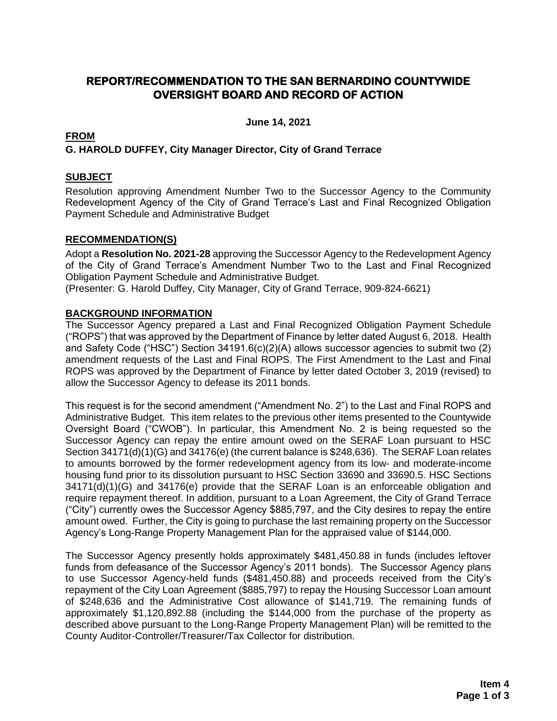## **REPORT/RECOMMENDATION TO THE SAN BERNARDINO COUNTYWIDE OVERSIGHT BOARD AND RECORD OF ACTION**

**June 14, 2021**

## **FROM G. HAROLD DUFFEY, City Manager Director, City of Grand Terrace**

## **SUBJECT**

Resolution approving Amendment Number Two to the Successor Agency to the Community Redevelopment Agency of the City of Grand Terrace's Last and Final Recognized Obligation Payment Schedule and Administrative Budget

## **RECOMMENDATION(S)**

Adopt a **Resolution No. 2021-28** approving the Successor Agency to the Redevelopment Agency of the City of Grand Terrace's Amendment Number Two to the Last and Final Recognized Obligation Payment Schedule and Administrative Budget.

(Presenter: G. Harold Duffey, City Manager, City of Grand Terrace, 909-824-6621)

### **BACKGROUND INFORMATION**

The Successor Agency prepared a Last and Final Recognized Obligation Payment Schedule ("ROPS") that was approved by the Department of Finance by letter dated August 6, 2018. Health and Safety Code ("HSC") Section 34191.6(c)(2)(A) allows successor agencies to submit two (2) amendment requests of the Last and Final ROPS. The First Amendment to the Last and Final ROPS was approved by the Department of Finance by letter dated October 3, 2019 (revised) to allow the Successor Agency to defease its 2011 bonds.

This request is for the second amendment ("Amendment No. 2") to the Last and Final ROPS and Administrative Budget. This item relates to the previous other items presented to the Countywide Oversight Board ("CWOB"). In particular, this Amendment No. 2 is being requested so the Successor Agency can repay the entire amount owed on the SERAF Loan pursuant to HSC Section 34171(d)(1)(G) and 34176(e) (the current balance is \$248,636). The SERAF Loan relates to amounts borrowed by the former redevelopment agency from its low- and moderate-income housing fund prior to its dissolution pursuant to HSC Section 33690 and 33690.5. HSC Sections 34171(d)(1)(G) and 34176(e) provide that the SERAF Loan is an enforceable obligation and require repayment thereof. In addition, pursuant to a Loan Agreement, the City of Grand Terrace ("City") currently owes the Successor Agency \$885,797, and the City desires to repay the entire amount owed. Further, the City is going to purchase the last remaining property on the Successor Agency's Long-Range Property Management Plan for the appraised value of \$144,000.

The Successor Agency presently holds approximately \$481,450.88 in funds (includes leftover funds from defeasance of the Successor Agency's 2011 bonds). The Successor Agency plans to use Successor Agency-held funds (\$481,450.88) and proceeds received from the City's repayment of the City Loan Agreement (\$885,797) to repay the Housing Successor Loan amount of \$248,636 and the Administrative Cost allowance of \$141,719. The remaining funds of approximately \$1,120,892.88 (including the \$144,000 from the purchase of the property as described above pursuant to the Long-Range Property Management Plan) will be remitted to the County Auditor-Controller/Treasurer/Tax Collector for distribution.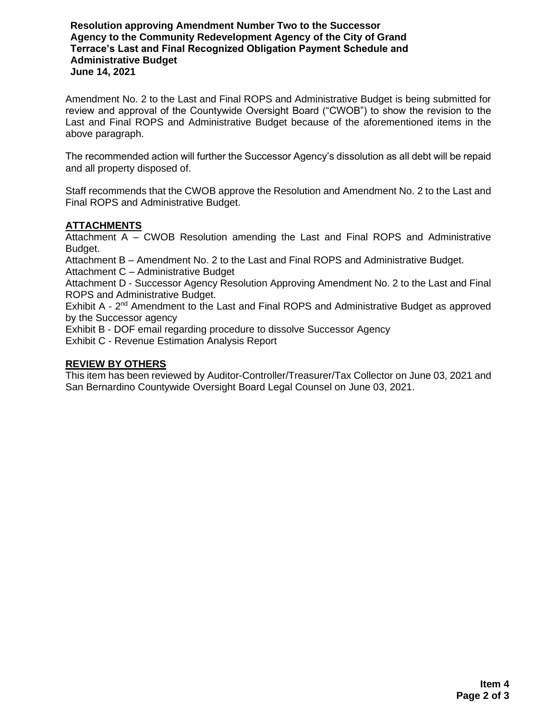**Resolution approving Amendment Number Two to the Successor Agency to the Community Redevelopment Agency of the City of Grand Terrace's Last and Final Recognized Obligation Payment Schedule and Administrative Budget June 14, 2021**

Amendment No. 2 to the Last and Final ROPS and Administrative Budget is being submitted for review and approval of the Countywide Oversight Board ("CWOB") to show the revision to the Last and Final ROPS and Administrative Budget because of the aforementioned items in the above paragraph.

The recommended action will further the Successor Agency's dissolution as all debt will be repaid and all property disposed of.

Staff recommends that the CWOB approve the Resolution and Amendment No. 2 to the Last and Final ROPS and Administrative Budget.

### **ATTACHMENTS**

Attachment A – CWOB Resolution amending the Last and Final ROPS and Administrative Budget.

Attachment B – Amendment No. 2 to the Last and Final ROPS and Administrative Budget.

Attachment C – Administrative Budget

Attachment D - Successor Agency Resolution Approving Amendment No. 2 to the Last and Final ROPS and Administrative Budget.

Exhibit A - 2<sup>nd</sup> Amendment to the Last and Final ROPS and Administrative Budget as approved by the Successor agency

Exhibit B - DOF email regarding procedure to dissolve Successor Agency

Exhibit C - Revenue Estimation Analysis Report

#### **REVIEW BY OTHERS**

This item has been reviewed by Auditor-Controller/Treasurer/Tax Collector on June 03, 2021 and San Bernardino Countywide Oversight Board Legal Counsel on June 03, 2021.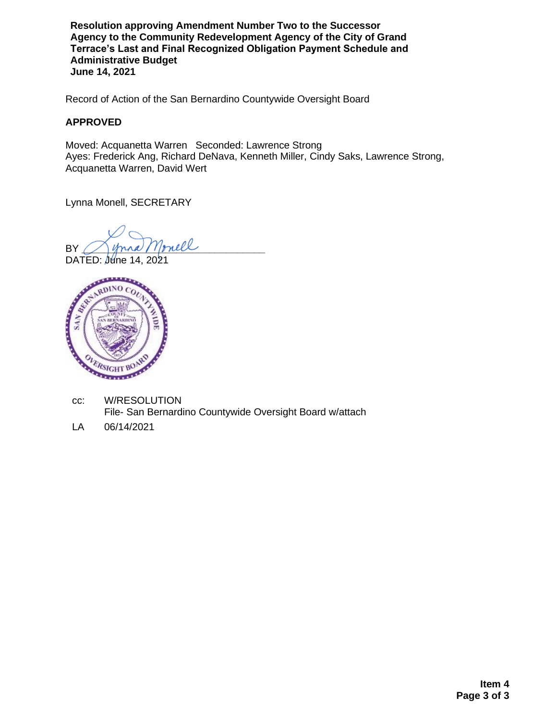**Resolution approving Amendment Number Two to the Successor Agency to the Community Redevelopment Agency of the City of Grand Terrace's Last and Final Recognized Obligation Payment Schedule and Administrative Budget June 14, 2021**

Record of Action of the San Bernardino Countywide Oversight Board

### **APPROVED**

Moved: Acquanetta Warren Seconded: Lawrence Strong Ayes: Frederick Ang, Richard DeNava, Kenneth Miller, Cindy Saks, Lawrence Strong, Acquanetta Warren, David Wert

Lynna Monell, SECRETARY

BY Monell

DATED: June 14, 2021



cc: W/RESOLUTION File- San Bernardino Countywide Oversight Board w/attach

LA 06/14/2021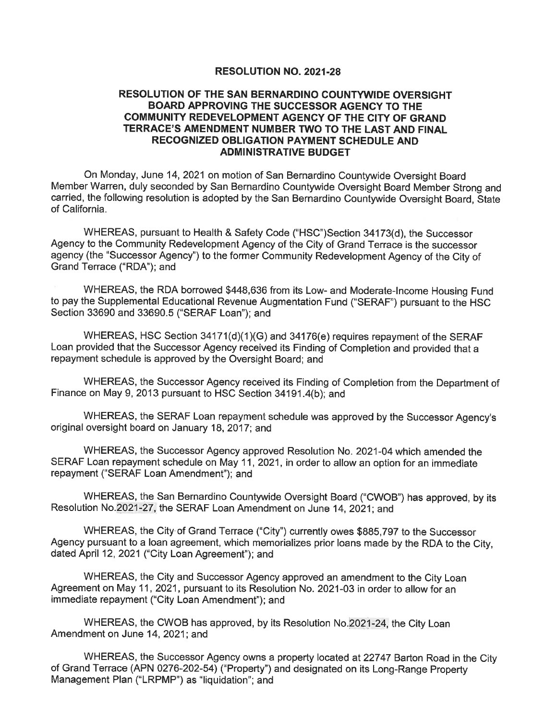#### **RESOLUTION NO. 2021-28**

#### RESOLUTION OF THE SAN BERNARDINO COUNTYWIDE OVERSIGHT BOARD APPROVING THE SUCCESSOR AGENCY TO THE COMMUNITY REDEVELOPMENT AGENCY OF THE CITY OF GRAND TERRACE'S AMENDMENT NUMBER TWO TO THE LAST AND FINAL RECOGNIZED OBLIGATION PAYMENT SCHEDULE AND **ADMINISTRATIVE BUDGET**

On Monday, June 14, 2021 on motion of San Bernardino Countywide Oversight Board Member Warren, duly seconded by San Bernardino Countywide Oversight Board Member Strong and carried, the following resolution is adopted by the San Bernardino Countywide Oversight Board, State of California.

WHEREAS, pursuant to Health & Safety Code ("HSC")Section 34173(d), the Successor Agency to the Community Redevelopment Agency of the City of Grand Terrace is the successor agency (the "Successor Agency") to the former Community Redevelopment Agency of the City of Grand Terrace ("RDA"); and

WHEREAS, the RDA borrowed \$448,636 from its Low- and Moderate-Income Housing Fund to pay the Supplemental Educational Revenue Augmentation Fund ("SERAF") pursuant to the HSC Section 33690 and 33690.5 ("SERAF Loan"); and

WHEREAS, HSC Section 34171(d)(1)(G) and 34176(e) requires repayment of the SERAF Loan provided that the Successor Agency received its Finding of Completion and provided that a repayment schedule is approved by the Oversight Board; and

WHEREAS, the Successor Agency received its Finding of Completion from the Department of Finance on May 9, 2013 pursuant to HSC Section 34191.4(b); and

WHEREAS, the SERAF Loan repayment schedule was approved by the Successor Agency's original oversight board on January 18, 2017; and

WHEREAS, the Successor Agency approved Resolution No. 2021-04 which amended the SERAF Loan repayment schedule on May 11, 2021, in order to allow an option for an immediate repayment ("SERAF Loan Amendment"); and

WHEREAS, the San Bernardino Countywide Oversight Board ("CWOB") has approved, by its Resolution No.2021-27, the SERAF Loan Amendment on June 14, 2021; and

WHEREAS, the City of Grand Terrace ("City") currently owes \$885,797 to the Successor Agency pursuant to a loan agreement, which memorializes prior loans made by the RDA to the City, dated April 12, 2021 ("City Loan Agreement"); and

WHEREAS, the City and Successor Agency approved an amendment to the City Loan Agreement on May 11, 2021, pursuant to its Resolution No. 2021-03 in order to allow for an immediate repayment ("City Loan Amendment"); and

WHEREAS, the CWOB has approved, by its Resolution No. 2021-24, the City Loan Amendment on June 14, 2021; and

WHEREAS, the Successor Agency owns a property located at 22747 Barton Road in the City of Grand Terrace (APN 0276-202-54) ("Property") and designated on its Long-Range Property Management Plan ("LRPMP") as "liquidation"; and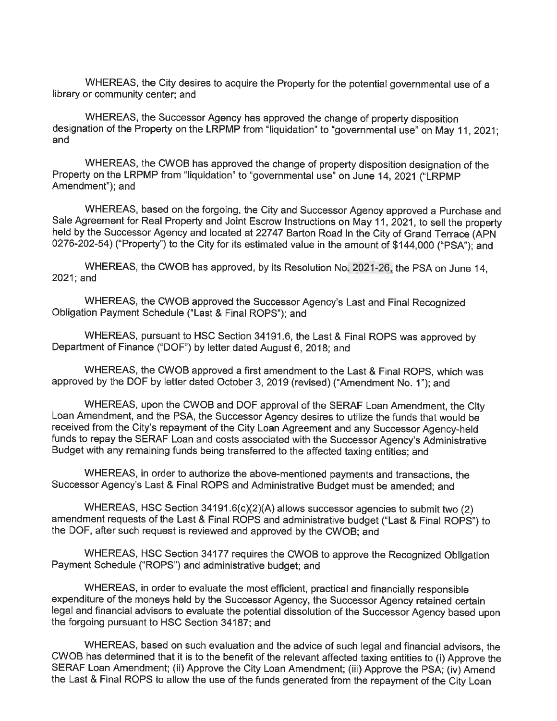WHEREAS, the City desires to acquire the Property for the potential governmental use of a library or community center; and

WHEREAS, the Successor Agency has approved the change of property disposition designation of the Property on the LRPMP from "liquidation" to "governmental use" on May 11, 2021; and

WHEREAS, the CWOB has approved the change of property disposition designation of the Property on the LRPMP from "liquidation" to "governmental use" on June 14, 2021 ("LRPMP Amendment"); and

WHEREAS, based on the forgoing, the City and Successor Agency approved a Purchase and Sale Agreement for Real Property and Joint Escrow Instructions on May 11, 2021, to sell the property held by the Successor Agency and located at 22747 Barton Road in the City of Grand Terrace (APN 0276-202-54) ("Property") to the City for its estimated value in the amount of \$144,000 ("PSA"); and

WHEREAS, the CWOB has approved, by its Resolution No. 2021-26, the PSA on June 14, 2021; and

WHEREAS, the CWOB approved the Successor Agency's Last and Final Recognized Obligation Payment Schedule ("Last & Final ROPS"); and

WHEREAS, pursuant to HSC Section 34191.6, the Last & Final ROPS was approved by Department of Finance ("DOF") by letter dated August 6, 2018; and

WHEREAS, the CWOB approved a first amendment to the Last & Final ROPS, which was approved by the DOF by letter dated October 3, 2019 (revised) ("Amendment No. 1"); and

WHEREAS, upon the CWOB and DOF approval of the SERAF Loan Amendment, the City Loan Amendment, and the PSA, the Successor Agency desires to utilize the funds that would be received from the City's repayment of the City Loan Agreement and any Successor Agency-held funds to repay the SERAF Loan and costs associated with the Successor Agency's Administrative Budget with any remaining funds being transferred to the affected taxing entities; and

WHEREAS, in order to authorize the above-mentioned payments and transactions, the Successor Agency's Last & Final ROPS and Administrative Budget must be amended; and

WHEREAS, HSC Section  $34191.6(c)(2)(A)$  allows successor agencies to submit two (2) amendment requests of the Last & Final ROPS and administrative budget ("Last & Final ROPS") to the DOF, after such request is reviewed and approved by the CWOB; and

WHEREAS, HSC Section 34177 requires the CWOB to approve the Recognized Obligation Payment Schedule ("ROPS") and administrative budget; and

WHEREAS, in order to evaluate the most efficient, practical and financially responsible expenditure of the moneys held by the Successor Agency, the Successor Agency retained certain legal and financial advisors to evaluate the potential dissolution of the Successor Agency based upon the forgoing pursuant to HSC Section 34187; and

WHEREAS, based on such evaluation and the advice of such legal and financial advisors, the CWOB has determined that it is to the benefit of the relevant affected taxing entities to (i) Approve the SERAF Loan Amendment; (ii) Approve the City Loan Amendment; (iii) Approve the PSA; (iv) Amend the Last & Final ROPS to allow the use of the funds generated from the repayment of the City Loan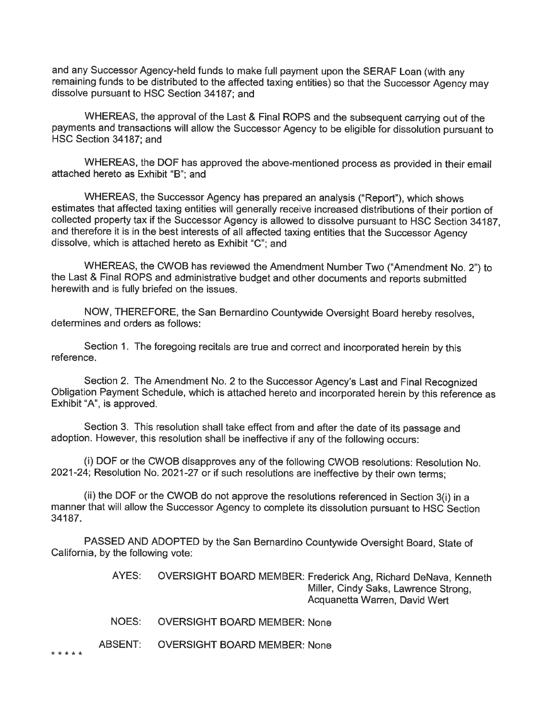and any Successor Agency-held funds to make full payment upon the SERAF Loan (with any remaining funds to be distributed to the affected taxing entities) so that the Successor Agency may dissolve pursuant to HSC Section 34187; and

WHEREAS, the approval of the Last & Final ROPS and the subsequent carrying out of the payments and transactions will allow the Successor Agency to be eligible for dissolution pursuant to HSC Section 34187; and

WHEREAS, the DOF has approved the above-mentioned process as provided in their email attached hereto as Exhibit "B": and

WHEREAS, the Successor Agency has prepared an analysis ("Report"), which shows estimates that affected taxing entities will generally receive increased distributions of their portion of collected property tax if the Successor Agency is allowed to dissolve pursuant to HSC Section 34187. and therefore it is in the best interests of all affected taxing entities that the Successor Agency dissolve, which is attached hereto as Exhibit "C"; and

WHEREAS, the CWOB has reviewed the Amendment Number Two ("Amendment No. 2") to the Last & Final ROPS and administrative budget and other documents and reports submitted herewith and is fully briefed on the issues.

NOW, THEREFORE, the San Bernardino Countywide Oversight Board hereby resolves, determines and orders as follows:

Section 1. The foregoing recitals are true and correct and incorporated herein by this reference.

Section 2. The Amendment No. 2 to the Successor Agency's Last and Final Recognized Obligation Payment Schedule, which is attached hereto and incorporated herein by this reference as Exhibit "A", is approved.

Section 3. This resolution shall take effect from and after the date of its passage and adoption. However, this resolution shall be ineffective if any of the following occurs:

(i) DOF or the CWOB disapproves any of the following CWOB resolutions: Resolution No. 2021-24; Resolution No. 2021-27 or if such resolutions are ineffective by their own terms;

(ii) the DOF or the CWOB do not approve the resolutions referenced in Section 3(i) in a manner that will allow the Successor Agency to complete its dissolution pursuant to HSC Section 34187.

PASSED AND ADOPTED by the San Bernardino Countywide Oversight Board, State of California, by the following vote:

> AYES: OVERSIGHT BOARD MEMBER: Frederick Ang, Richard DeNava, Kenneth Miller, Cindy Saks, Lawrence Strong. Acquanetta Warren, David Wert

NOES: **OVERSIGHT BOARD MEMBER: None** 

**ABSENT: OVERSIGHT BOARD MEMBER: None** 

\* \* \* \* \*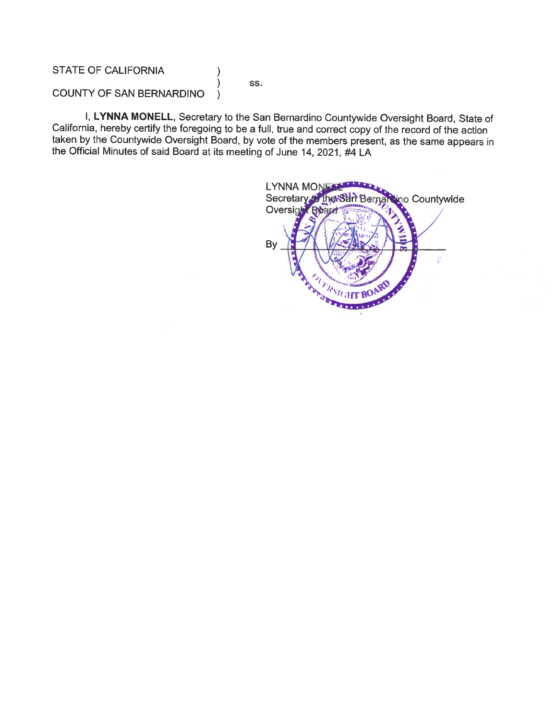**STATE OF CALIFORNIA** 

SS.

**COUNTY OF SAN BERNARDINO**  $\lambda$ 

I, LYNNA MONELL, Secretary to the San Bernardino Countywide Oversight Board, State of California, hereby certify the foregoing to be a full, true and correct copy of the record of the action taken by the Countywide Oversight Board, by vote of the members present, as the same appears in the Official Minutes of said Board at its meeting of June 14, 2021. #4 LA

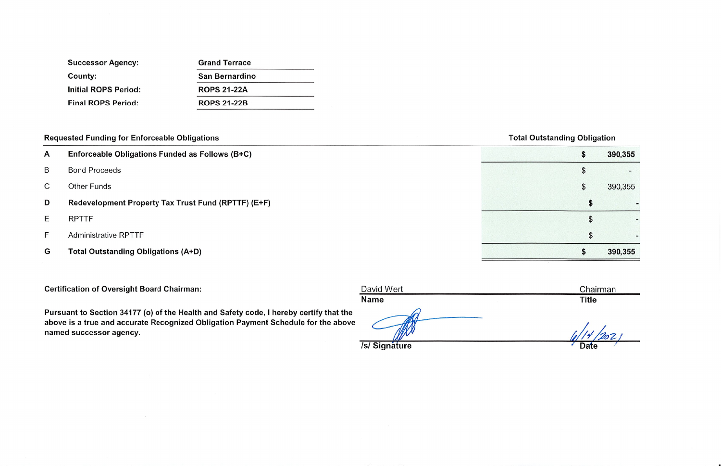| <b>Successor Agency:</b>    | <b>Grand Terrace</b>  |  |  |  |  |  |  |
|-----------------------------|-----------------------|--|--|--|--|--|--|
| County:                     | <b>San Bernardino</b> |  |  |  |  |  |  |
| <b>Initial ROPS Period:</b> | <b>ROPS 21-22A</b>    |  |  |  |  |  |  |
| <b>Final ROPS Period:</b>   | <b>ROPS 21-22B</b>    |  |  |  |  |  |  |

# **Requested Funding for Enforceable Obligations**

- Enforceable Obligations Funded as Follows (B+C)  $\mathsf{A}$
- **Bond Proceeds** B
- **Other Funds**  $\mathsf{C}$
- Redevelopment Property Tax Trust Fund (RPTTF) (E+F) D
- **RPTTF**  $\mathsf E$
- **Administrative RPTTF**  $F$
- **Total Outstanding Obligations (A+D)** G

**Certification of Oversight Board Chairman:** 

Pursuant to Section 34177 (o) of the Health and Safety code, I hereby certify that the above is a true and accurate Recognized Obligation Payment Schedule for the above named successor agency.

David Wert **Name** 

/s/ Signature

## **Total Outstanding Obligation**

| \$ | 390,355 |
|----|---------|
| \$ |         |
| \$ | 390,355 |
| \$ |         |
| \$ |         |
| \$ |         |
| \$ | 390,355 |

Chairman **Title** 

Date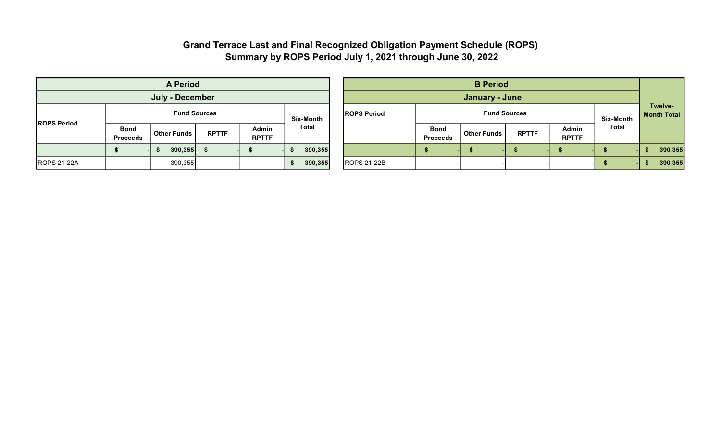# Grand Terrace Last and Final Recognized Obligation Payment Schedule (ROPS) Summary by ROPS Period July 1, 2021 through June 30, 2022

|                     | <b>A Period</b>                |                    |              |                       |              |  |                     | <b>B</b> Period                |                     |                  |                        |       |         |  |
|---------------------|--------------------------------|--------------------|--------------|-----------------------|--------------|--|---------------------|--------------------------------|---------------------|------------------|------------------------|-------|---------|--|
| July - December     |                                |                    |              |                       |              |  | January - June      |                                |                     |                  |                        |       |         |  |
| <b>IROPS Period</b> | <b>Fund Sources</b>            |                    |              |                       | Six-Month    |  | <b>IROPS Period</b> |                                | <b>Fund Sources</b> | <b>Six-Month</b> | Twelve-<br>Month Total |       |         |  |
|                     | <b>Bond</b><br><b>Proceeds</b> | <b>Other Funds</b> | <b>RPTTF</b> | Admin<br><b>RPTTF</b> | <b>Total</b> |  |                     | <b>Bond</b><br><b>Proceeds</b> | <b>Other Funds</b>  | <b>RPTTF</b>     | Admin<br><b>RPTTF</b>  | Total |         |  |
|                     |                                | 390,355            |              |                       | 390,355      |  |                     |                                |                     |                  |                        |       | 390,355 |  |
| <b>ROPS 21-22A</b>  |                                | 390,355            |              |                       | 390,355      |  | <b>ROPS 21-22B</b>  |                                |                     |                  |                        |       | 390,355 |  |

| <b>A Period</b>                |                    |              |                       |           |  | <b>B</b> Period     |                                |                    |              |                                      |              |  |         |
|--------------------------------|--------------------|--------------|-----------------------|-----------|--|---------------------|--------------------------------|--------------------|--------------|--------------------------------------|--------------|--|---------|
| <b>July - December</b>         |                    |              |                       |           |  | January - June      |                                |                    |              |                                      |              |  |         |
| <b>Fund Sources</b>            |                    |              |                       | Six-Month |  | <b>IROPS Period</b> |                                | <b>Six-Month</b>   |              | <b>Twelve-</b><br><b>Month Total</b> |              |  |         |
| <b>Bond</b><br><b>Proceeds</b> | <b>Other Funds</b> | <b>RPTTF</b> | Admin<br><b>RPTTF</b> | Total     |  |                     | <b>Bond</b><br><b>Proceeds</b> | <b>Other Funds</b> | <b>RPTTF</b> | <b>Admin</b><br><b>RPTTF</b>         | <b>Total</b> |  |         |
| \$                             | 390,355            |              |                       | 390,355   |  |                     |                                |                    |              |                                      |              |  | 390,355 |
|                                | 390,355            |              |                       | 390,355   |  | <b>ROPS 21-22B</b>  |                                |                    |              | $-1$                                 |              |  | 390,355 |